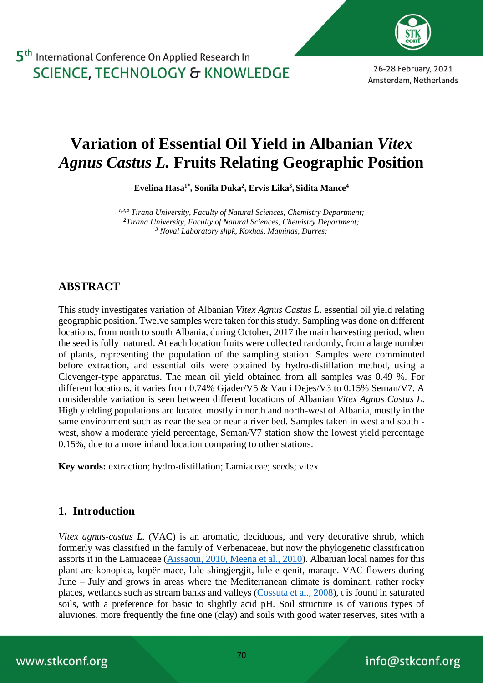

26-28 February, 2021 Amsterdam, Netherlands

# **Variation of Essential Oil Yield in Albanian** *Vitex Agnus Castus L.* **Fruits Relating Geographic Position**

**Evelina Hasa1\* , [Sonila Duka](https://sites.google.com/a/fshn.edu.al/departamenti-i-kimisee/personelli/profasocdr-Sonila-Duka)<sup>2</sup> , Ervis Lika<sup>3</sup> , Sidita Mance<sup>4</sup>**

*1,2,4 Tirana University, Faculty of Natural Sciences, Chemistry Department; <sup>2</sup>Tirana University, Faculty of Natural Sciences, Chemistry Department; <sup>3</sup> Noval Laboratory shpk, Koxhas, Maminas, Durres;*

## **ABSTRACT**

This study investigates variation of Albanian *Vitex Agnus Castus L*. essential oil yield relating geographic position. Twelve samples were taken for this study. Sampling was done on different locations, from north to south Albania, during October, 2017 the main harvesting period, when the seed is fully matured. At each location fruits were collected randomly, from a large number of plants, representing the population of the sampling station. Samples were comminuted before extraction, and essential oils were obtained by hydro-distillation method, using a Clevenger-type apparatus. The mean oil yield obtained from all samples was 0.49 %. For different locations, it varies from 0.74% Gjader/V5 & Vau i Dejes/V3 to 0.15% Seman/V7. A considerable variation is seen between different locations of Albanian *Vitex Agnus Castus L*. High yielding populations are located mostly in north and north-west of Albania, mostly in the same environment such as near the sea or near a river bed. Samples taken in west and south west, show a moderate yield percentage, Seman/V7 station show the lowest yield percentage 0.15%, due to a more inland location comparing to other stations.

**Key words:** extraction; hydro-distillation; Lamiaceae; seeds; vitex

## <span id="page-0-0"></span>**1. Introduction**

*Vitex agnus-castus L.* (VAC) is an aromatic, deciduous, and very decorative shrub, which formerly was classified in the family of Verbenaceae, but now the phylogenetic classification assorts it in the Lamiaceae (Aissaoui, 2010, [Meena et al., 2010\)](#page-4-0). Albanian local names for this plant are konopica, kopër mace, lule shingjergjit, lule e qenit, maraqe. VAC flowers during June – July and grows in areas where the Mediterranean climate is dominant, rather rocky places, wetlands such as stream banks and valleys (Cossuta [et al., 2008\)](#page-4-0), t is found in saturated soils, with a preference for basic to slightly acid pH. Soil structure is of various types of aluviones, more frequently the fine one (clay) and soils with good water reserves, sites with a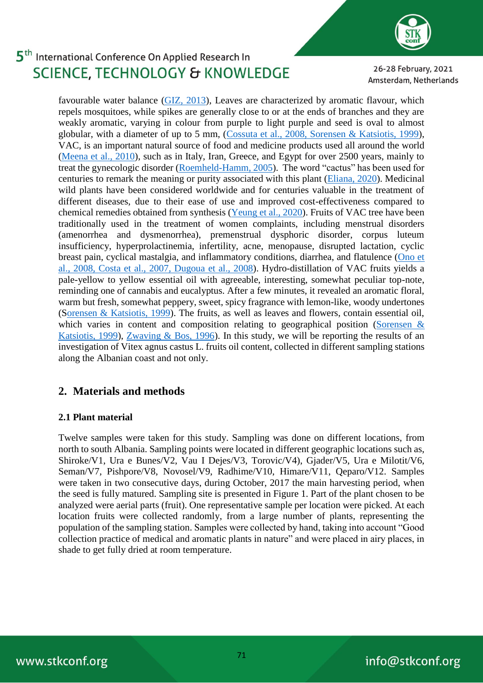

26-28 February, 2021 Amsterdam, Netherlands

favourable water balance [\(GIZ, 2013\)](#page-4-0), Leaves are characterized by aromatic flavour, which repels mosquitoes, while spikes are generally close to or at the ends of branches and they are weakly aromatic, varying in colour from purple to light purple and seed is oval to almost globular, with a diameter of up to 5 mm, (Cossuta et al., 2008, [Sorensen & Katsiotis, 1999\)](#page-4-0), VAC, is an important natural source of food and medicine products used all around the world [\(Meena et al., 2010\)](#page-4-0), such as in Italy, Iran, Greece, and Egypt for over 2500 years, mainly to treat the gynecologic disorder [\(Roemheld-Hamm, 2005\)](#page-4-0). The word "cactus" has been used for centuries to remark the meaning or purity associated with this plant [\(Eliana, 2020\)](#page-4-0). Medicinal wild plants have been considered worldwide and for centuries valuable in the treatment of different diseases, due to their ease of use and improved cost-effectiveness compared to chemical remedies obtained from synthesis (Yeung [et al., 2020\)](#page-4-0). Fruits of VAC tree have been traditionally used in the treatment of women complaints, including menstrual disorders (amenorrhea and dysmenorrhea), premenstrual dysphoric disorder, corpus luteum insufficiency, hyperprolactinemia, infertility, acne, menopause, disrupted lactation, cyclic breast pain, cyclical mastalgia, and inflammatory conditions, diarrhea, and flatulence [\(Ono et](#page-4-0)  [al., 2008, Costa et al., 2007, Dugoua et al., 2008\)](#page-4-0). Hydro-distillation of VAC fruits yields a pale-yellow to yellow essential oil with agreeable, interesting, somewhat peculiar top-note, reminding one of cannabis and eucalyptus. After a few minutes, it revealed an aromatic floral, warm but fresh, somewhat peppery, sweet, spicy fragrance with lemon-like, woody undertones ([Sorensen & Katsiotis, 1999\)](#page-4-0). The fruits, as well as leaves and flowers, contain essential oil, which varies in content and composition relating to geographical position (Sorensen & [Katsiotis, 1999\)](#page-4-0), [Zwaving & Bos, 1996\)](#page-4-0). In this study, we will be reporting the results of an investigation of Vitex agnus castus L. fruits oil content, collected in different sampling stations along the Albanian coast and not only.

## **2. Materials and methods**

### **2.1 Plant material**

Twelve samples were taken for this study. Sampling was done on different locations, from north to south Albania. Sampling points were located in different geographic locations such as, Shiroke/V1, Ura e Bunes/V2, Vau I Dejes/V3, Torovic/V4), Gjader/V5, Ura e Milotit/V6, Seman/V7, Pishpore/V8, Novosel/V9, Radhime/V10, Himare/V11, Qeparo/V12. Samples were taken in two consecutive days, during October, 2017 the main harvesting period, when the seed is fully matured. Sampling site is presented in Figure 1. Part of the plant chosen to be analyzed were aerial parts (fruit). One representative sample per location were picked. At each location fruits were collected randomly, from a large number of plants, representing the population of the sampling station. Samples were collected by hand, taking into account "Good collection practice of medical and aromatic plants in nature" and were placed in airy places, in shade to get fully dried at room temperature.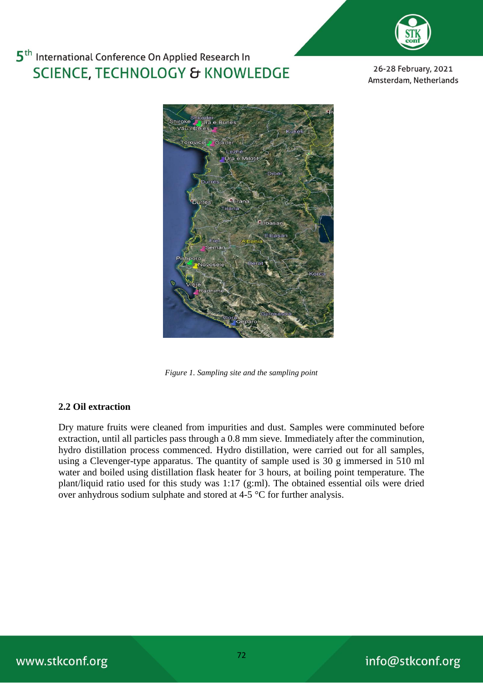26-28 February, 2021 Amsterdam, Netherlands



*Figure 1. Sampling site and the sampling point*

### **2.2 Oil extraction**

Dry mature fruits were cleaned from impurities and dust. Samples were comminuted before extraction, until all particles pass through a 0.8 mm sieve. Immediately after the comminution, hydro distillation process commenced. Hydro distillation, were carried out for all samples, using a Clevenger-type apparatus. The quantity of sample used is 30 g immersed in 510 ml water and boiled using distillation flask heater for 3 hours, at boiling point temperature. The plant/liquid ratio used for this study was 1:17 (g:ml). The obtained essential oils were dried over anhydrous sodium sulphate and stored at 4-5 °C for further analysis.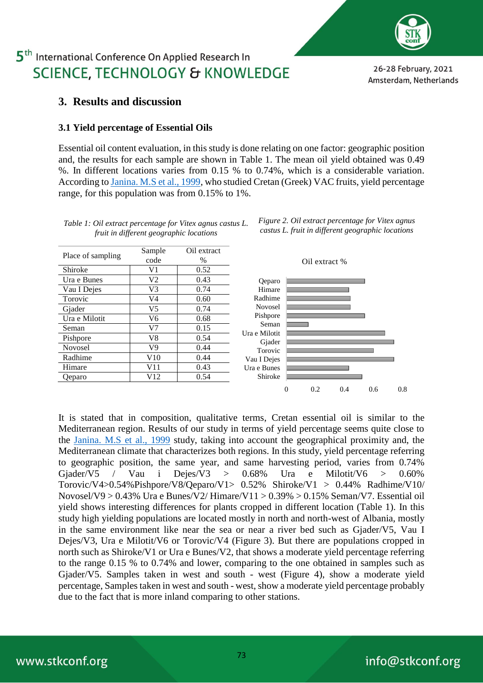

26-28 February, 2021 Amsterdam, Netherlands

### **3. Results and discussion**

#### **3.1 Yield percentage of Essential Oils**

Essential oil content evaluation, in this study is done relating on one factor: geographic position and, the results for each sample are shown in Table 1. The mean oil yield obtained was 0.49 %. In different locations varies from 0.15 % to 0.74%, which is a considerable variation. According t[o Janina. M.S et al., 1999,](#page-4-0) who studied Cretan (Greek) VAC fruits, yield percentage range, for this population was from 0.15% to 1%.

*Table 1: Oil extract percentage for Vitex agnus castus L. fruit in different geographic locations*

Place of sampling Sample code Oil extract  $\frac{0}{6}$ Shiroke V1 0.52 Ura e Bunes  $V2$  0.43 Vau I Dejes V3 0.74 Torovic  $V4 \t0.60$ Giader V5 0.74 Ura e Milotit  $V_6$  0.68 Seman 1 V7 0.15 Pishpore V8 0.54 Novosel V9 0.44 Radhime V10 0.44 Himare V11 0.43 Qeparo | V12 | 0.54

*Figure 2. Oil extract percentage for Vitex agnus castus L. fruit in different geographic locations*

#### Oil extract %



It is stated that in composition, qualitative terms, Cretan essential oil is similar to the Mediterranean region. Results of our study in terms of yield percentage seems quite close to the [Janina. M.S et al., 1999](#page-4-0) study, taking into account the geographical proximity and, the Mediterranean climate that characterizes both regions. In this study, yield percentage referring to geographic position, the same year, and same harvesting period, varies from 0.74% Gjader/V5 / Vau i Dejes/V3 >  $0.68\%$  Ura e Milotit/V6 >  $0.60\%$ Torovic/V4>0.54%Pishpore/V8/Qeparo/V1> 0.52% Shiroke/V1 > 0.44% Radhime/V10/ Novosel/V9 >  $0.43\%$  Ura e Bunes/V2/ Himare/V11 >  $0.39\%$  >  $0.15\%$  Seman/V7. Essential oil yield shows interesting differences for plants cropped in different location (Table 1). In this study high yielding populations are located mostly in north and north-west of Albania, mostly in the same environment like near the sea or near a river bed such as Gjader/V5, Vau I Dejes/V3, Ura e Milotit/V6 or Torovic/V4 (Figure 3). But there are populations cropped in north such as Shiroke/V1 or Ura e Bunes/V2, that shows a moderate yield percentage referring to the range 0.15 % to 0.74% and lower, comparing to the one obtained in samples such as Gjader/V5. Samples taken in west and south - west (Figure 4), show a moderate yield percentage, Samples taken in west and south - west, show a moderate yield percentage probably due to the fact that is more inland comparing to other stations.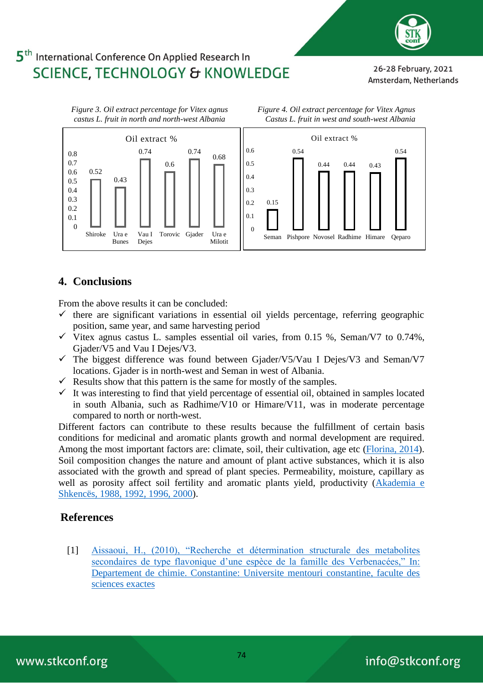



### <span id="page-4-1"></span>**4. Conclusions**

From the above results it can be concluded:

- $\checkmark$  there are significant variations in essential oil yields percentage, referring geographic position, same year, and same harvesting period
- $\checkmark$  Vitex agnus castus L. samples essential oil varies, from 0.15 %, Seman/V7 to 0.74%, Gjader/V5 and Vau I Dejes/V3.
- $\checkmark$  The biggest difference was found between Gjader/V5/Vau I Dejes/V3 and Seman/V7 locations. Gjader is in north-west and Seman in west of Albania.
- $\checkmark$  Results show that this pattern is the same for mostly of the samples.
- $\checkmark$  It was interesting to find that yield percentage of essential oil, obtained in samples located in south Albania, such as Radhime/V10 or Himare/V11, was in moderate percentage compared to north or north-west.

Different factors can contribute to these results because the fulfillment of certain basis conditions for medicinal and aromatic plants growth and normal development are required. Among the most important factors are: climate, soil, their cultivation, age etc [\(Florina, 2014\)](#page-4-0). Soil composition changes the nature and amount of plant active substances, which it is also associated with the growth and spread of plant species. Permeability, moisture, capillary as well as porosity affect soil fertility and aromatic plants yield, productivity (Akademia e [Shkencës, 1988, 1992, 1996, 2000\)](#page-4-0).

### <span id="page-4-0"></span>**References**

[1] [Aissaoui, H., \(2010\), "Recherche et détermination structurale des metabolites](#page-0-0)  [secondaires de type flavonique d'une espèce de la famille des Verbenacées," In:](#page-0-0)  [Departement de chimie. Constantine: Universite mentouri constantine, faculte des](#page-0-0)  [sciences exactes](#page-0-0)

26-28 February, 2021 Amsterdam, Netherlands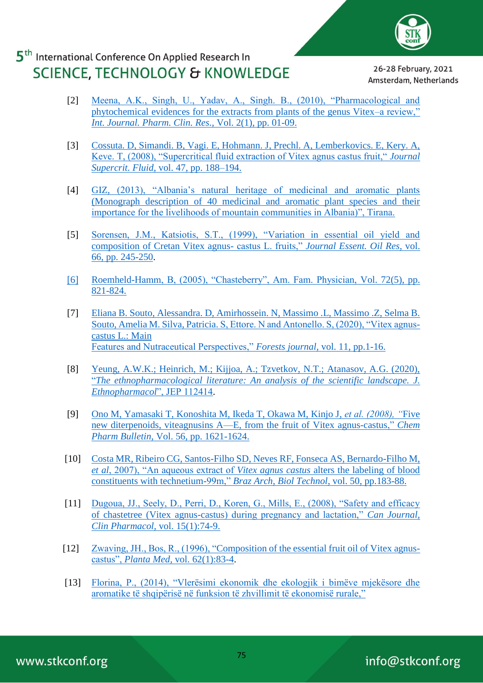



26-28 February, 2021 Amsterdam, Netherlands

- [2] [Meena, A.K., Singh, U., Yadav, A., Singh. B., \(2010\), "Pharmacological and](#page-0-0)  [phytochemical evidences for the extracts from plants of the genus Vitex–a review,"](#page-0-0)  *[Int. Journal. Pharm. Clin. Res](#page-0-0)*., Vol. 2(1), pp. 01-09.
- [3] [Cossuta. D, Simandi. B, Vagi. E, Hohmann. J, Prechl. A, Lemberkovics. E, Kery. A,](#page-0-0)  [Keve. T, \(2008\), "Supercritical fluid extraction of Vitex agnus castus fruit,"](#page-0-0) *Journal Supercrit. Fluid*[, vol. 47, pp. 188–194.](#page-0-0)
- [4] [GIZ, \(2013\), "Albania's natural heritage of medicinal and aromatic plants](#page-0-0)  [\(Monograph description of 40 medicinal and aromatic plant species and their](#page-0-0)  [importance for the livelihoods of mountain communities in Albania\)", Tirana.](#page-0-0)
- [5] [Sorensen, J.M., Katsiotis, S.T., \(1999\), "Variation in essential oil yield and](#page-0-0)  [composition of Cretan Vitex agnus-](#page-0-0) castus L. fruits," *Journal Essent. Oil Res*, vol. [66, pp. 245-250.](#page-0-0)
- [6] Roemheld-Hamm, B, (2005), "Chasteberry", Am. Fam. Physician, Vol. 72(5), pp. 821-824.
- [7] [Eliana B. Souto, Alessandra. D, Amirhossein. N, Massimo .L, Massimo .Z, Selma B.](#page-0-0)  [Souto, Amelia M. Silva, Patricia. S, Ettore. N and Antonello. S, \(2020\), "Vitex agnus](#page-0-0)[castus L.: Main](#page-0-0)  [Features and Nutraceutical Perspectives,"](#page-0-0) *Forests journal,* vol. 11, pp.1-16.
- [8] [Yeung, A.W.K.; Heinrich, M.; Kijjoa, A.; Tzvetkov, N.T.; Atanasov, A.G. \(2020\),](#page-0-0)  "*[The ethnopharmacological literature: An analysis of the](#page-0-0) scientific landscape. J. [Ethnopharmacol](#page-0-0)*", JEP 112414.
- [9] [Ono M, Yamasaki T, Konoshita M, Ikeda T, Okawa M, Kinjo J,](#page-0-0) *et al. (2008), "*Five [new diterpenoids, viteagnusins A—E, from the fruit of Vitex agnus-castus,"](#page-0-0) *Chem Pharm Bulletin*[, Vol. 56, pp. 1621-1624.](#page-0-0)
- [10] [Costa MR, Ribeiro CG, Santos-Filho SD, Neves RF, Fonseca AS, Bernardo-Filho M,](#page-0-0)  *et al*[, 2007\), "An aqueous extract of](#page-0-0) *Vitex agnus castus* alters the labeling of blood [constituents with technetium-99m,"](#page-0-0) *Braz Arch*, *Biol Technol*, vol. 50, pp.183-88.
- [11] [Dugoua, JJ., Seely, D., Perri, D., Koren, G., Mills, E., \(2008\), "Safety and efficacy](#page-0-0)  [of chastetree \(Vitex agnus-castus\) during pregnancy and lactation,"](#page-0-0) *Can Journal, [Clin Pharmacol,](#page-0-0)* vol. 15(1):74-9.
- [12] [Zwaving, JH., Bos, R., \(1996\), "Composition of the essential fruit oil of Vitex agnus](#page-0-0)castus", *[Planta Med,](#page-0-0)* vol. 62(1):83-4.
- [13] [Florina, P., \(2014\), "Vlerësimi ekonomik dhe ekologjik i bimëve mjekësore dhe](#page-4-1)  [aromatike të shqipërisë në funksion të zhvillimit të ekonomisë rurale,"](#page-4-1)